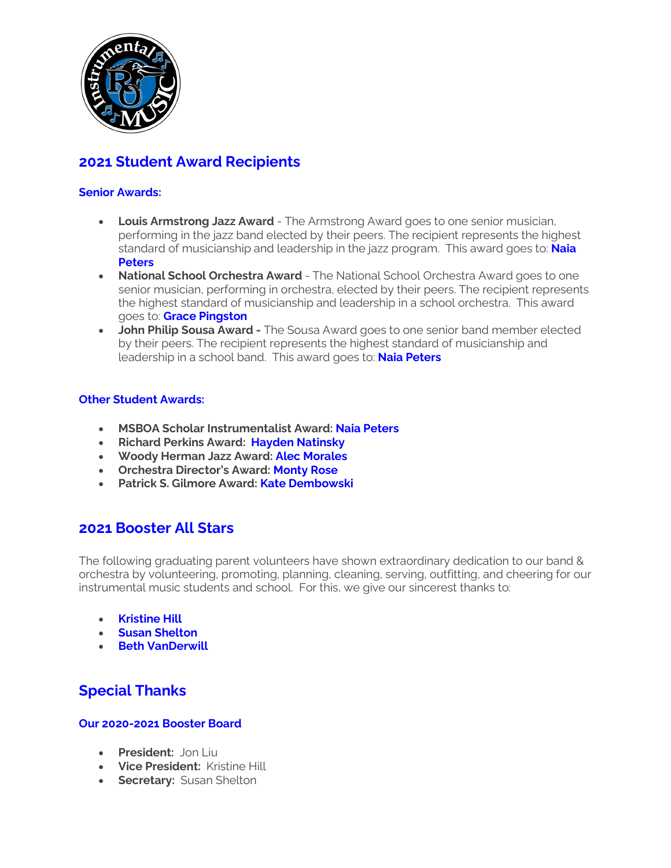

# **2021 Student Award Recipients**

## **Senior Awards:**

- **Louis Armstrong Jazz Award** The Armstrong Award goes to one senior musician, performing in the jazz band elected by their peers. The recipient represents the highest standard of musicianship and leadership in the jazz program. This award goes to: **Naia Peters**
- **National School Orchestra Award** The National School Orchestra Award goes to one senior musician, performing in orchestra, elected by their peers. The recipient represents the highest standard of musicianship and leadership in a school orchestra. This award goes to: **Grace Pingston**
- **John Philip Sousa Award -** The Sousa Award goes to one senior band member elected by their peers. The recipient represents the highest standard of musicianship and leadership in a school band. This award goes to: **Naia Peters**

#### **Other Student Awards:**

- **MSBOA Scholar Instrumentalist Award: Naia Peters**
- **Richard Perkins Award: Hayden Natinsky**
- **Woody Herman Jazz Award: Alec Morales**
- **Orchestra Director's Award: Monty Rose**
- **Patrick S. Gilmore Award: Kate Dembowski**

# **2021 Booster All Stars**

The following graduating parent volunteers have shown extraordinary dedication to our band & orchestra by volunteering, promoting, planning, cleaning, serving, outfitting, and cheering for our instrumental music students and school. For this, we give our sincerest thanks to:

- **Kristine Hill**
- **Susan Shelton**
- **Beth VanDerwill**

# **Special Thanks**

## **Our 2020-2021 Booster Board**

- **President:** Jon Liu
- **Vice President:** Kristine Hill
- **Secretary:** Susan Shelton